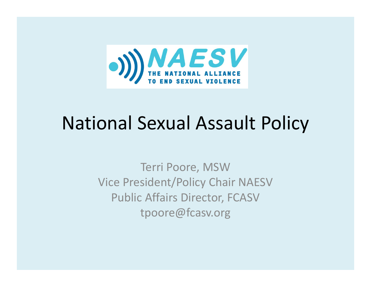

# National Sexual Assault Policy

Terri Poore, MSW Vice President/Policy Chair NAESV Public Affairs Director, FCASV tpoore@fcasv.org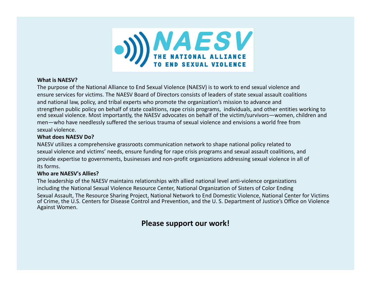

#### **What is NAESV?**

The purpose of the National Alliance to End Sexual Violence (NAESV) is to work to end sexual violence and ensure services for victims. The NAESV Board of Directors consists of leaders of state sexual assault coalitions and national law, policy, and tribal experts who promote the organization's mission to advance and strengthen public policy on behalf of state coalitions, rape crisis programs, individuals, and other entities working to end sexual violence. Most importantly, the NAESV advocates on behalf of the victim/survivors—women, children and men—who have needlessly suffered the serious trauma of sexual violence and envisions <sup>a</sup> world free from sexual violence.

#### **What does NAESV Do?**

NAESV utilizes <sup>a</sup> comprehensive grassroots communication network to shape national policy related to sexual violence and victims' needs, ensure funding for rape crisis programs and sexual assault coalitions, and provide expertise to governments, businesses and non-profit organizations addressing sexual violence in all of its forms.

#### **Who are NAESV's Allies?**

The leadership of the NAESV maintains relationships with allied national level anti‐violence organizations including the National Sexual Violence Resource Center, National Organization of Sisters of Color Ending Sexual Assault, The Resource Sharing Project, National Network to End Domestic Violence, National Center for Victims of Crime, the U.S. Centers for Disease Control and Prevention, and the U. S. Department of Justice's Office on Violence Against Women.

#### **Please support our work!**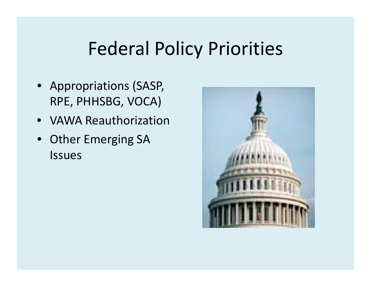### Federal Policy Priorities

- Appropriations (SASP, RPE, PHHSBG, VOCA)
- VAWA Reauthorization
- Other Emerging SA Issues

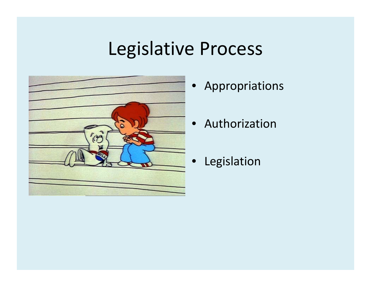## Legislative Process



- Appropriations
- Authorization
- •Legislation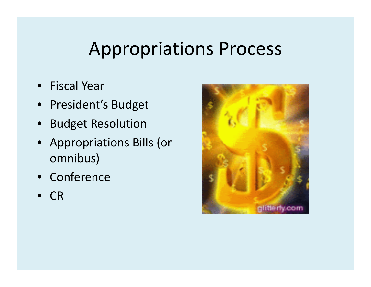### Appropriations Process

- Fiscal Year
- President's Budget
- Budget Resolution
- Appropriations Bills (or omnibus)
- Conference
- •CR

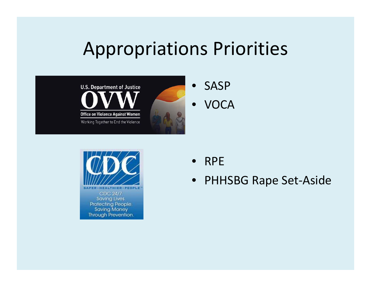#### Appropriations Priorities





• RPE

• PHHSBG Rape Set ‐Aside

**ER-PEOPLE** CDC 24/7. Saving Lives. Protecting People. **Saving Money** Through Prevention.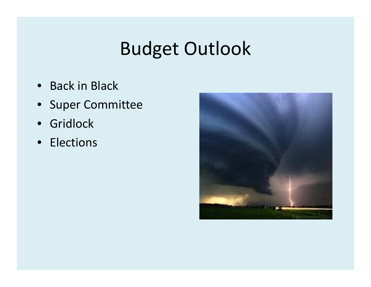# Budget Outlook

- Back in Black
- Super Committee
- Gridlock
- Elections

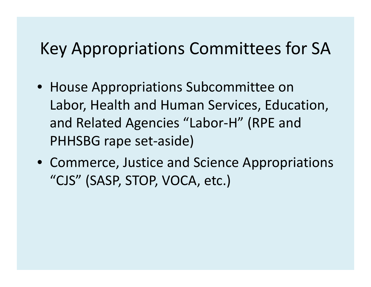#### Key Appropriations Committees for SA

- House Appropriations Subcommittee on Labor, Health and Human Services, Education, and Related Agencies "Labor‐H" (RPE and PHHSBG rape set‐aside)
- Commerce, Justice and Science Appropriations "CJS" (SASP, STOP, VOCA, etc.)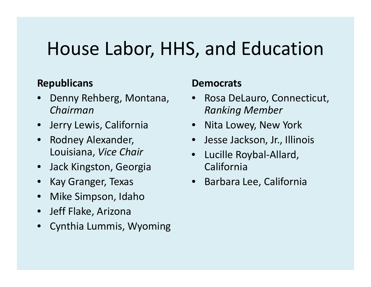### House Labor, HHS, and Education

#### **Republicans Democrats**

- • Denny Rehberg, Montana, *Chairman*
- $\bullet$ Jerry Lewis, California
- Rodney Alexander, Louisiana, *Vice Chair*
- •Jack Kingston, Georgia
- Kay Granger, Texas
- Mike Simpson, Idaho
- Jeff Flake, Arizona
- •Cynthia Lummis, Wyoming

- •• Rosa DeLauro, Connecticut, *Ranking Member*
- Lewis, Nita Lowey New York Lowey,
	- Jesse Jackson, Jr., Illinois
	- Lucille Roybal‐Allard, California
	- Barbara Lee, California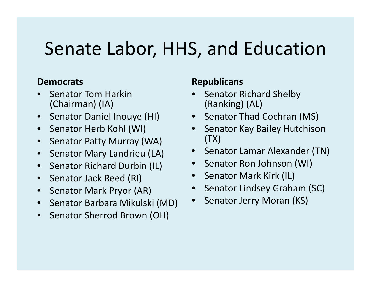### Senate Labor, HHS, and Education

#### **Democrats**

- •• Senator Tom Harkin (Chairman) (IA)
- •Senator Daniel Inouye (HI)
- Senator Herb Kohl (WI)
- Senator Patty Murray (WA)
- $\bullet$ Senator Mary Landrieu (LA)
- Senator Richard Durbin (II ) Senator Ron Johnson (WI) • Senator Richard Durbin (IL)
- •• Senator Jack Reed (RI)
- •• Senator Mark Pryor (AR)
- Senator Barbara Mikulski (MD) Senator Jerry Moran (KS)
- Senator Sherrod Brown (OH)

#### **Republicans**

- •• Senator Richard Shelby (Ranking) (AL)
- Senator Thad Cochran (MS)
- Senator Herb Kohl (WI) Senator Kay Bailey Hutchison (TX)
	- Senator Lamar Alexander (TN)
	-
	- Senator Mark Kirk (IL)
	- •Senator Lindsey Graham (SC)
	- Senator Jerry Moran •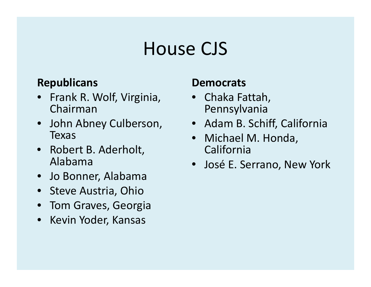#### House CJS

#### **Republicans Democrats**

- •• Frank R. Wolf, Virginia, Chairman
- John Abney Culberson Texas
- Robert B. Aderholt, Alabama
- •Jo Bonner, Alabama
- Steve Austria, Ohio
- Tom Graves, Georgia
- Kevin Yoder, Kansas

- Chaka Fattah, Pennsylvania
- Culberson, Adam B. Schiff, California
	- Michael M. Honda, California
- a entry of the service of the Serrano, New York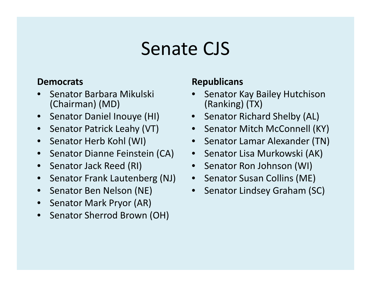#### Senate CJS

#### **Democrats**

- •• Senator Barbara Mikulski (Chairman) (MD)
- Senator Daniel Inouye (HI)
- Senator Patrick Leahy (VT)
- Senator Herb Kohl (WI)
- $\bullet$ • Senator Dianne Feinstein (CA)
- •• Senator Jack Reed (RI)
- •• Senator Frank Lautenberg (NJ)
- •• Senator Ben Nelson (NE)
- •• Senator Mark Pryor (AR)
- •• Senator Sherrod Brown (OH)

#### **Republicans**

- • Senator Kay Bailey Hutchison (Ranking) (TX)
- Senator Richard Shelby (AL)
- Senator Patrick Leahy (VT) Senator Mitch McConnell (KY)
	- Senator Lamar Alexander (TN)
	- Senator Lisa Murkowski (AK)
	- Senator Ron Johnson (WI)
	- Senator Susan Collins (ME)
	- $\bullet$ Senator Lindsey Graham (SC)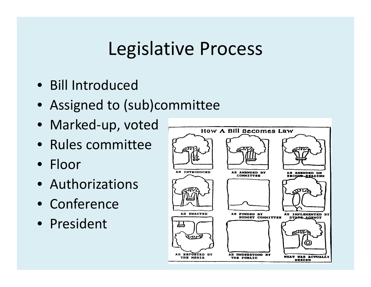#### Legislative Process

- Bill Introduced
- Assigned to (sub)committee
- Marked‐up, voted
- Rules committee
- Floor
- Authorizations
- Conference
- President

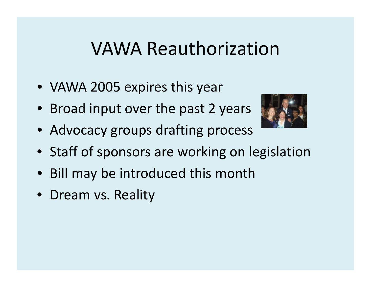#### VAWA Reauthorization

- VAWA 2005 expires this year
- Broad input over the past 2 years



- Advocacy groups drafting process
- Staff of sponsors are working on legislation
- Bill may be introduced this month
- Dream vs. Reality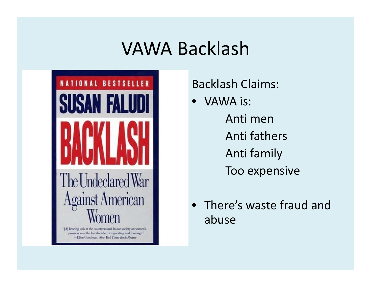#### VAWA Backlash



#### Backlash Claims:

- VAWA is: Anti menAnti fathersAnti family Too expensive
- There's waste fraud and abuse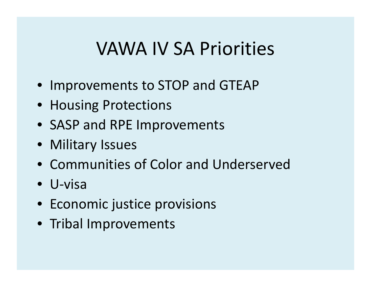#### VAWA IV SA Priorities

- Improvements to STOP and GTEAP
- Housing Protections
- SASP and RPE Improvements
- Military Issues
- Communities of Color and Underserved
- U‐visa
- Economic justice provisions
- Tribal Improvements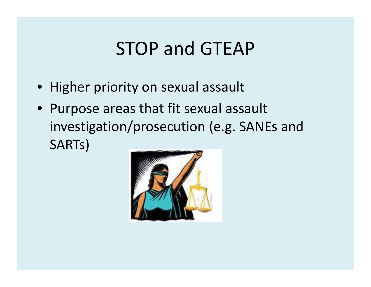### STOP and GTEAP

- Higher priority on sexual assault
- Purpose areas that fit sexual assault investigation/prosecution (e.g. SANEs and SARTs)

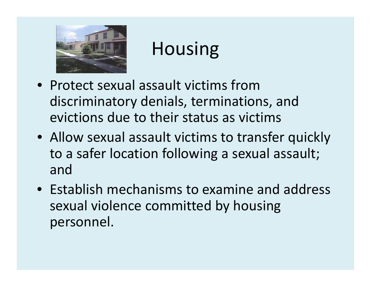

### Housing

- Protect sexual assault victims fromdiscriminatory denials, terminations, and evictions due to their status as victims
- Allow sexual assault victims to transfer quickly to <sup>a</sup> safer location following <sup>a</sup> sexual assault; and
- Establish mechanisms to examine and address sexual violence committed by housing personnel.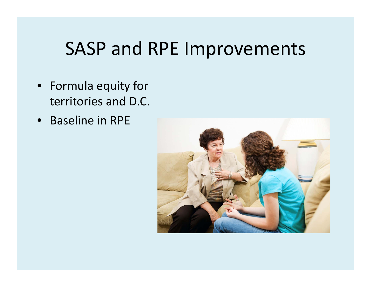#### SASP and RPE Improvements

- Formula equity for territories and D.C.
- Baseline in RPE

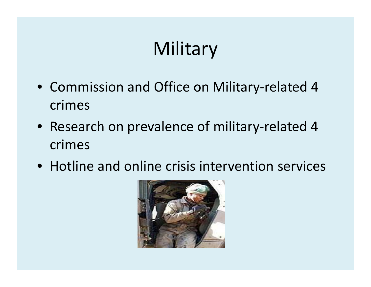# Military

- Commission and Office on Military-related 4 crimes
- Research on prevalence of military-related 4 crimes
- $\bullet\,$  Hotline and online crisis intervention services

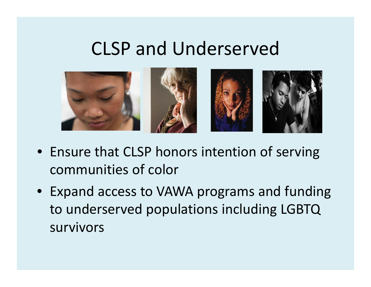#### CLSP and Underserved



- Ensure that CLSP honors intention of serving communities of color
- Expand access to VAWA programs and funding to underserved populations including LGBTQ survivors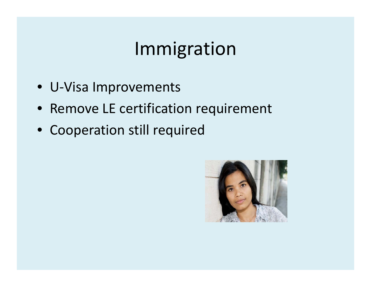### Immigration

- U‐Visa Improvements
- Remove LE certification requirement
- Cooperation still required

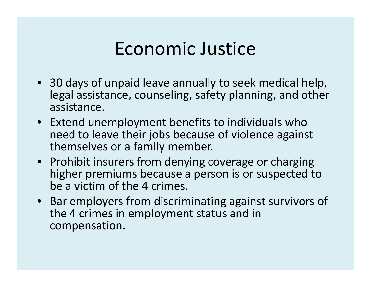#### Economic Justice

- 30 days of unpaid leave annually to seek medical help, legal assistance, counseling, safety planning, and other assistance.
- Extend unemployment benefits to individuals who need to leave their jobs because of violence against themselves or a family member.
- Prohibit insurers from denying coverage or charging higher premiums because <sup>a</sup> person is or suspected to be a victim of the 4 crimes.
- Bar employers from discriminating against survivors of the 4 crimes in employment status and in compensation.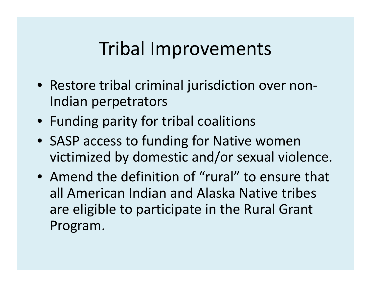#### Tribal Improvements

- Restore tribal criminal jurisdiction over non‐ Indian perpetrators
- Funding parity for tribal coalitions
- SASP access to funding for Native women victimized by domestic and/or sexual violence.
- Amend the definition of "rural" to ensure that all American Indian and Alaska Native tribes are eligible to participate in the Rural Grant Program.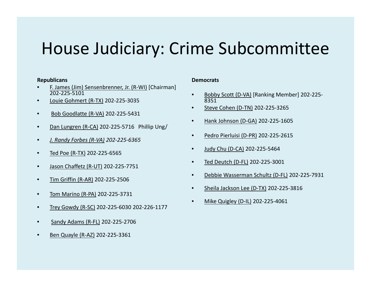#### House Judiciary: Crime Subcommittee

#### **Republicans**

- •● F. James (Jim) Sensenbrenner, Jr. (R-WI) [Chairman] 202‐225‐5101
- •● Louie Gohmert (R-TX) 202-225-3035
- •● Bob Goodlatte (R-VA) 202-225-5431
- Dan Lungren (R-CA) 202-225-5716 Phillip Ung/ •
- •*J. Randy Forbes (R‐VA) 202‐225‐6365*
- •● <u>Ted Poe (R-TX)</u> 202-225-6565
- •● <u>Jason Chaffetz (R-UT)</u> 202-225-7751
- $\bullet$ ● <u>Tim Griffin (R-AR)</u> 202-225-2506
- •● Tom Marino (R-PA) 202-225-3731
- •Trey Gowdy (R‐SC) 202‐225‐6030 202‐226‐1177
- •Sandy Adams (R‐FL) 202‐225‐2706
- Ben Quayle (R-AZ) 202-225-3361 •

#### **Democrats**

- • Bobby Scott (D‐VA) [Ranking Member] 202‐225‐ 8351
- •● <u>Steve Cohen (D-TN)</u> 202-225-3265
- •● 1 Hank Johnson (D-GA) 202-225-1605
- •Pedro Pierluisi (D‐PR) 202‐225‐2615
- •Judy Chu (D‐CA) 202‐225‐5464
- •• <u>Ted Deutch (D-FL)</u> 202-225-3001
- •Debbie Wasserman Schultz (D‐FL) 202‐225‐7931
- •Sheila Jackson Lee (D‐TX) 202‐225‐3816
- •• Mike Quigley (D-IL) 202-225-4061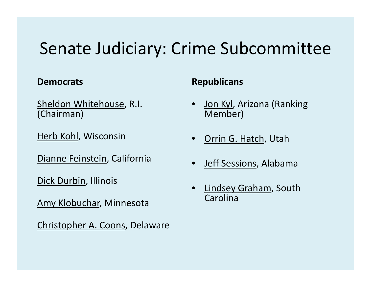#### Senate Judiciary: Crime Subcommittee

Sheldon Whitehouse, R.I. (Chairman)

Herb Kohl, Wisconsin

Dianne Feinstein, California

Dick Durbin, Illinois

Amy Klobuchar, Minnesota

Christopher A. Coons, Delaware

#### **Democrats CONSIDERENT REPUBLICANS**

- •• Jon Kyl, Arizona (Ranking Member)
- Drrin G. Hatch, Utah
- Jeff Sessions, Alabama •
- • Lindsey Graham, South Carolina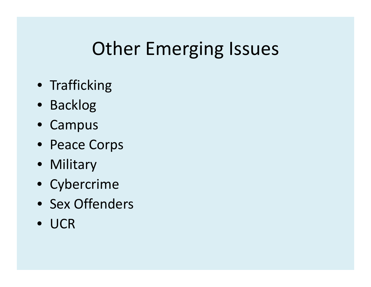## Other Emerging Issues

- Trafficking
- Backlog
- Campus
- Peace Corps
- Military
- Cybercrime
- Sex Offenders
- UCR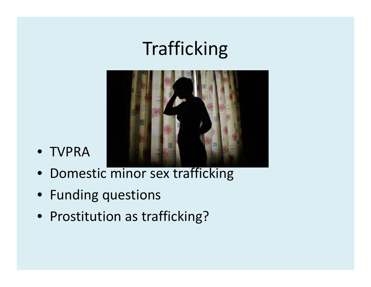## Trafficking



- TVPRA
- Domestic minor sex trafficking
- Funding questions
- Prostitution as trafficking?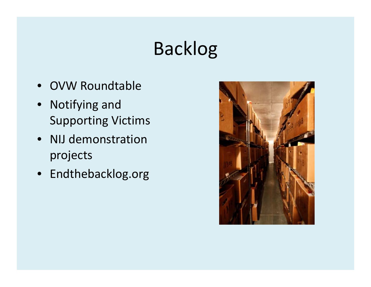## Backlog

- OVW Roundtable
- Notifying and Supporting Victims
- NIJ demonstration projects
- Endthebacklog.org

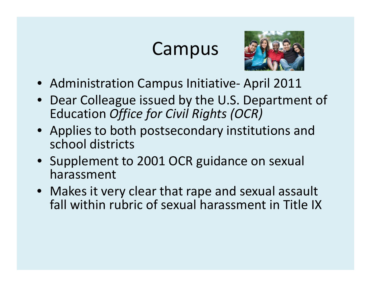#### Campus



- Administration Campus Initiative- April 2011
- Dear Colleague issued by the U.S. Department of Education *Office for Civil Rights (OCR)*
- Applies to both postsecondary institutions and school districts
- Supplement to 2001 OCR guidance on sexual harassment
- Makes it very clear that rape and sexual assault fall within rubric of sexual harassment in Title IX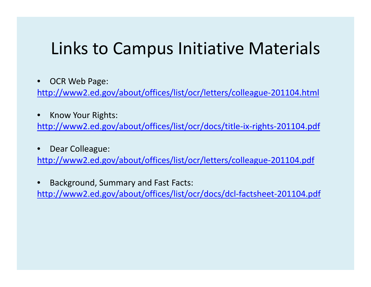#### Links to Campus Initiative Materials

•• OCR Web Page:

http://www2.ed.gov/about/offices/list/ocr/letters/colleague-201104.html

- •• Know Your Rights: http://www2.ed.gov/about/offices/list/ocr/docs/title-ix-rights-201104.pdf
- $\bullet$  Dear Colleague: http://www2.ed.gov/about/offices/list/ocr/letters/colleague-201104.pdf
- • Background, Summary and Fast Facts: http://www2.ed.gov/about/offices/list/ocr/docs/dcl-factsheet-201104.pdf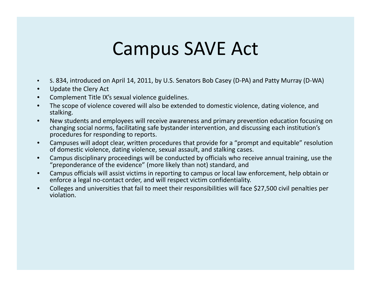#### Campus SAVE Act

- $\bullet$ S. 834, introduced on April 14, 2011, by U.S. Senators Bob Casey (D‐PA) and Patty Murray (D‐WA)
- •Update the Clery Act
- •Complement Title IX's sexual violence guidelines.
- • The scope of violence covered will also be extended to domestic violence, dating violence, and stalking.
- • New students and employees will receive awareness and primary prevention education focusing on changing social norms, facilitating safe bystander intervention, and discussing each institution's procedures for responding to reports.
- $\bullet$  Campuses will adopt clear, written procedures that provide for <sup>a</sup> "prompt and equitable" resolution of domestic violence, dating violence, sexual assault, and stalking cases.
- •Campus disciplinary proceedings will be conducted by officials who receive annual training, use the "preponderance of the evidence" (more likely than not) standard, and
- • Campus officials will assist victims in reporting to campus or local law enforcement, help obtain or enforce <sup>a</sup> legal no‐contact order, and will respect victim confidentiality.
- • Colleges and universities that fail to meet their responsibilities will face \$27,500 civil penalties per violation.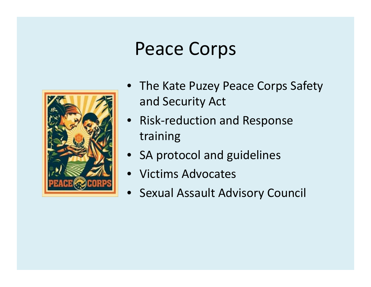#### Peace Corps



- The Kate Puzey Peace Corps Safety and Security Act
- Risk‐reduction and Response training
- SA protocol and guidelines
- Victims Advocates
- $\bullet$ Sexual Assault Advisory Council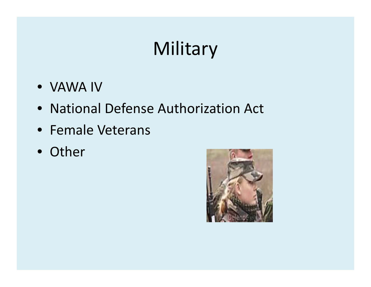# Military

- VAWA IV
- National Defense Authorization Act
- Female Veterans
- Other

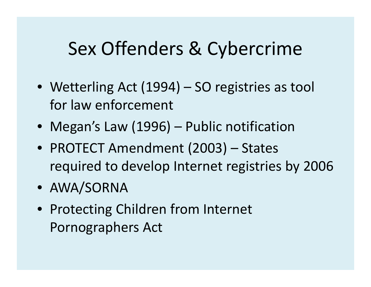#### Sex Offenders & Cybercrime

- Wetterling Act (1994) SO registries as tool for law enforcement
- Megan's Law (1996) Public notification
- PROTECT Amendment (2003) States required to develop Internet registries by 2006
- AWA/SORNA
- Protecting Children from Internet Pornographers Act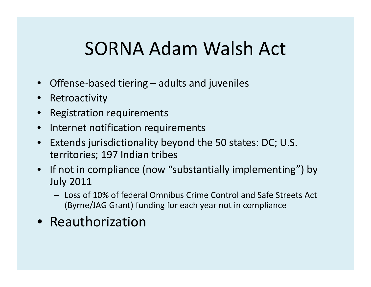### SORNA Adam Walsh Act

- •● Offense-based tiering – adults and juveniles
- •Retroactivity
- •Registration requirements
- • $\bullet$  Internet notification requirements
- • Extends jurisdictionality beyond the 50 states: DC; U.S. territories; 197 Indian tribes
- If not in compliance (now "substantially implementing") by July 2011
	- Loss of 10% of federal Omnibus Crime Control and Safe Streets Act (Byrne/JAG Grant) funding for each year not in compliance
- Reauthorization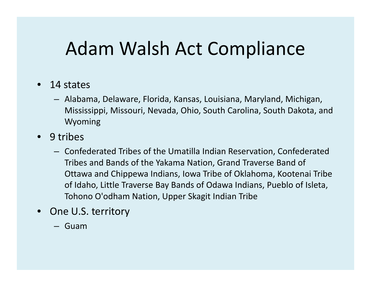#### Adam Walsh Act Compliance

- •• 14 states
	- Alabama, Delaware, Florida, Kansas, Louisiana, Maryland, Michigan, Mississippi, Missouri, Nevada, Ohio, South Carolina, South Dakota, and Wyoming
- •• 9 tribes
	- Confederated Tribes of the Umatilla Indian Reservation, Confederated Tribes and Bands of the Yakama Nation, Grand Traverse Band of Ottawa and Chippewa Indians, Iowa Tribe of Oklahoma, Kootenai Tribe of Idaho, Little Traverse Bay Bands of Odawa Indians, Pueblo of Isleta, Tohono O'odham Nation, Upper Skagit Indian Tribe
- •• One U.S. territory
	- Guam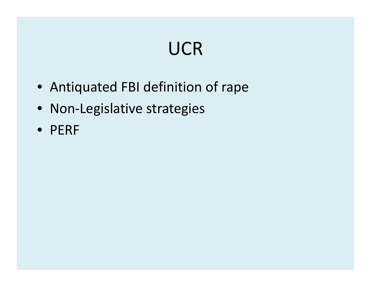## UCR

- Antiquated FBI definition of rape
- Non-Legislative strategies
- PERF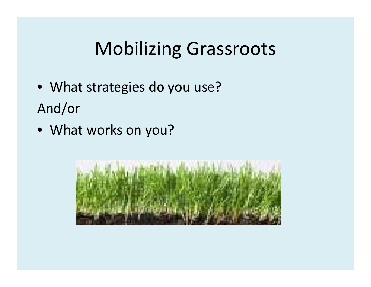## Mobilizing Grassroots

- What strategies do you use? And/or
- What works on you?

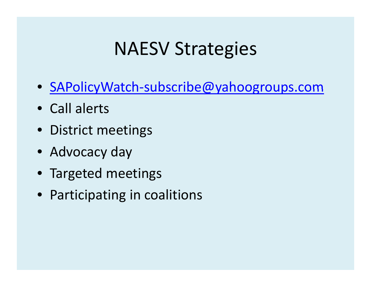### NAESV Strategies

- SAPolicyWatch-subscribe@yahoogroups.com
- Call alerts
- District meetings
- Advocacy day
- Targeted meetings
- Participating in coalitions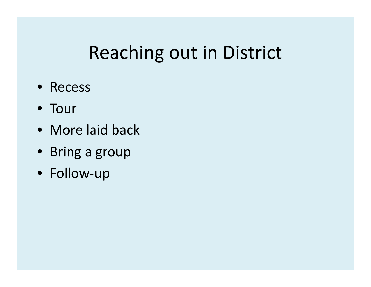### Reaching out in District

- Recess
- Tour
- More laid back
- Bring <sup>a</sup> group
- Follow‐up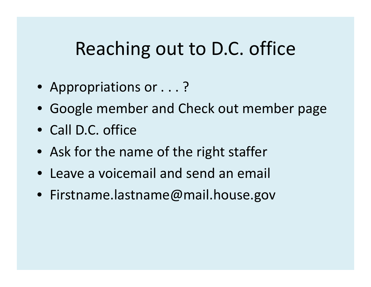#### Reaching out to D.C. office

- Appropriations or . . . ?
- Google member and Check out member page
- Call D.C. office
- Ask for the name of the right staffer
- Leave <sup>a</sup> voicemail and send an email
- Firstname.lastname@mail.house.gov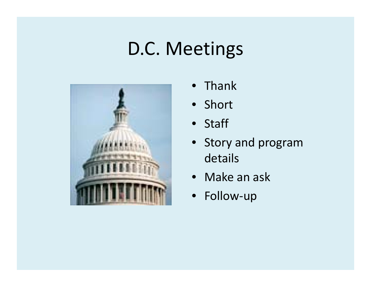### D.C. Meetings



- $\bullet$ • Thank
- Short
- Staff
- Story and program details
- Make an ask
- Follow‐up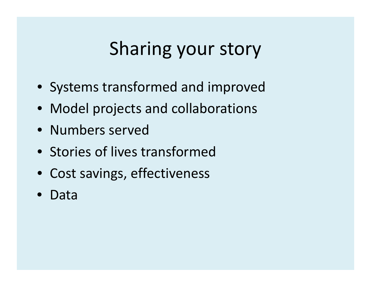## Sharing your story

- Systems transformed and improved
- Model projects and collaborations
- Numbers served
- Stories of lives transformed
- Cost savings, effectiveness
- Data